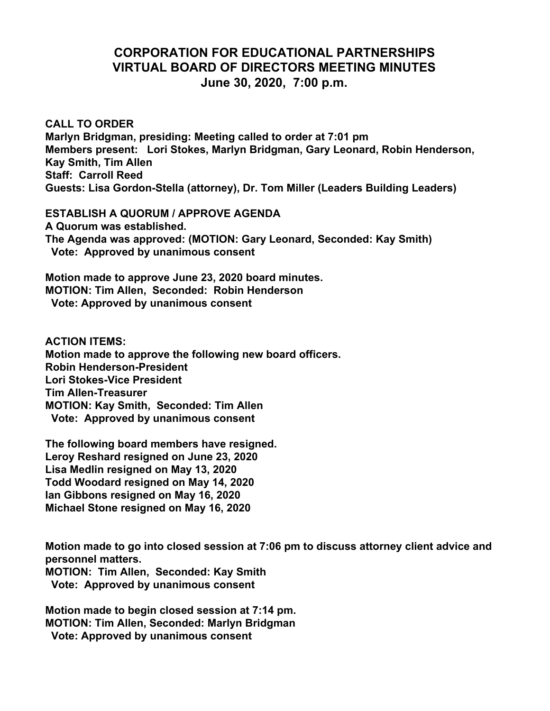## **CORPORATION FOR EDUCATIONAL PARTNERSHIPS VIRTUAL BOARD OF DIRECTORS MEETING MINUTES June 30, 2020, 7:00 p.m.**

**CALL TO ORDER Marlyn Bridgman, presiding: Meeting called to order at 7:01 pm Members present: Lori Stokes, Marlyn Bridgman, Gary Leonard, Robin Henderson, Kay Smith, Tim Allen Staff: Carroll Reed Guests: Lisa Gordon-Stella (attorney), Dr. Tom Miller (Leaders Building Leaders)**

**ESTABLISH A QUORUM / APPROVE AGENDA A Quorum was established. The Agenda was approved: (MOTION: Gary Leonard, Seconded: Kay Smith) Vote: Approved by unanimous consent**

**Motion made to approve June 23, 2020 board minutes. MOTION: Tim Allen, Seconded: Robin Henderson Vote: Approved by unanimous consent**

**ACTION ITEMS: Motion made to approve the following new board officers. Robin Henderson-President Lori Stokes-Vice President Tim Allen-Treasurer MOTION: Kay Smith, Seconded: Tim Allen Vote: Approved by unanimous consent**

**The following board members have resigned. Leroy Reshard resigned on June 23, 2020 Lisa Medlin resigned on May 13, 2020 Todd Woodard resigned on May 14, 2020 Ian Gibbons resigned on May 16, 2020 Michael Stone resigned on May 16, 2020**

**Motion made to go into closed session at 7:06 pm to discuss attorney client advice and personnel matters.**

**MOTION: Tim Allen, Seconded: Kay Smith Vote: Approved by unanimous consent**

**Motion made to begin closed session at 7:14 pm. MOTION: Tim Allen, Seconded: Marlyn Bridgman Vote: Approved by unanimous consent**